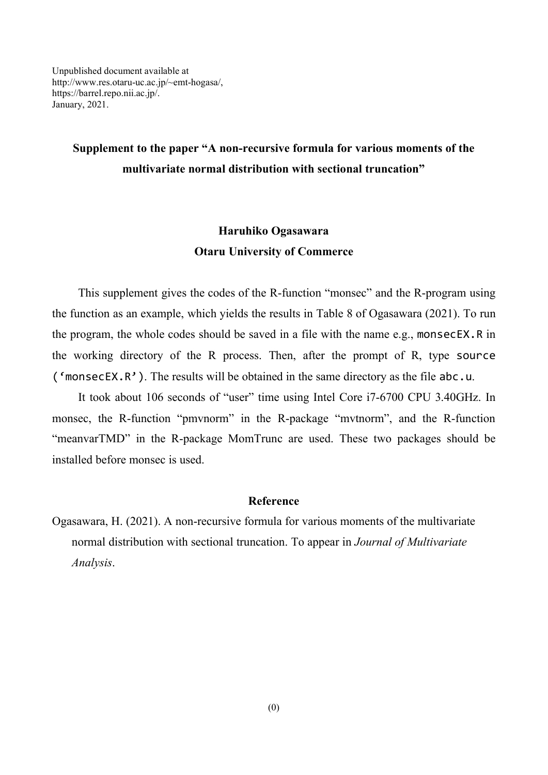## **Supplement to the paper "A non-recursive formula for various moments of the multivariate normal distribution with sectional truncation"**

## **Haruhiko Ogasawara Otaru University of Commerce**

This supplement gives the codes of the R-function "monsec" and the R-program using the function as an example, which yields the results in Table 8 of Ogasawara (2021). To run the program, the whole codes should be saved in a file with the name e.g., monsecEX.R in the working directory of the R process. Then, after the prompt of R, type source ( $'$ monsecEX.R'). The results will be obtained in the same directory as the file abc.u.

It took about 106 seconds of "user" time using Intel Core i7-6700 CPU 3.40GHz. In monsec, the R-function "pmvnorm" in the R-package "mvtnorm", and the R-function "meanvarTMD" in the R-package MomTrunc are used. These two packages should be installed before monsec is used.

## **Reference**

Ogasawara, H. (2021). A non-recursive formula for various moments of the multivariate normal distribution with sectional truncation. To appear in *Journal of Multivariate Analysis*.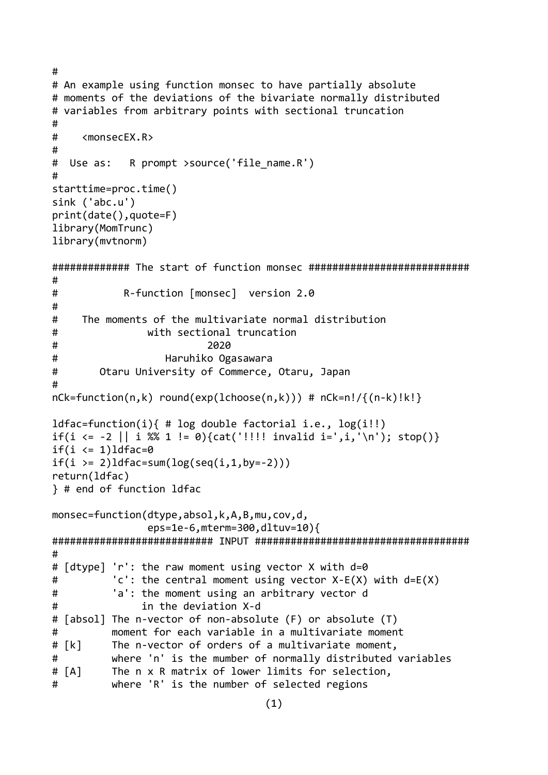```
#
# An example using function monsec to have partially absolute
# moments of the deviations of the bivariate normally distributed
# variables from arbitrary points with sectional truncation
#
# <monsecEX.R>
#
# Use as: R prompt >source('file name.R')
#
starttime=proc.time()
sink ('abc.u')
print(date(),quote=F)
library(MomTrunc)
library(mvtnorm)
############# The start of function monsec ###########################
#
# R-function [monsec] version 2.0
#
# The moments of the multivariate normal distribution
# with sectional truncation
# 2020
# Haruhiko Ogasawara
# Otaru University of Commerce, Otaru, Japan
#
nCk = function(n, k) round(exp(lchoose(n,k))) # nCk=n! / {(n-k)!k!}ldfac=function(i){ # log double factorial i.e., log(i!!)
if(i <= -2 || i %% 1 != 0){cat('!!!! invalid i=',i,'\n'); stop()}
if(i \leq 1)ldfac=0
if(i > = 2) 1 dfac = sum(log(seq(i, 1, by = -2)))return(ldfac)
} # end of function ldfac
monsec=function(dtype,absol,k,A,B,mu,cov,d,
                eps=1e-6,mterm=300,dltuv=10){
########################### INPUT ####################################
#
# [dtype] 'r': the raw moment using vector X with d=0
# 'c': the central moment using vector X-E(X) with d=E(X)
# 'a': the moment using an arbitrary vector d
# in the deviation X-d
# [absol] The n-vector of non-absolute (F) or absolute (T)
# moment for each variable in a multivariate moment
# [k] The n-vector of orders of a multivariate moment,
# where 'n' is the mumber of normally distributed variables
# [A] The n x R matrix of lower limits for selection,
# where 'R' is the number of selected regions
```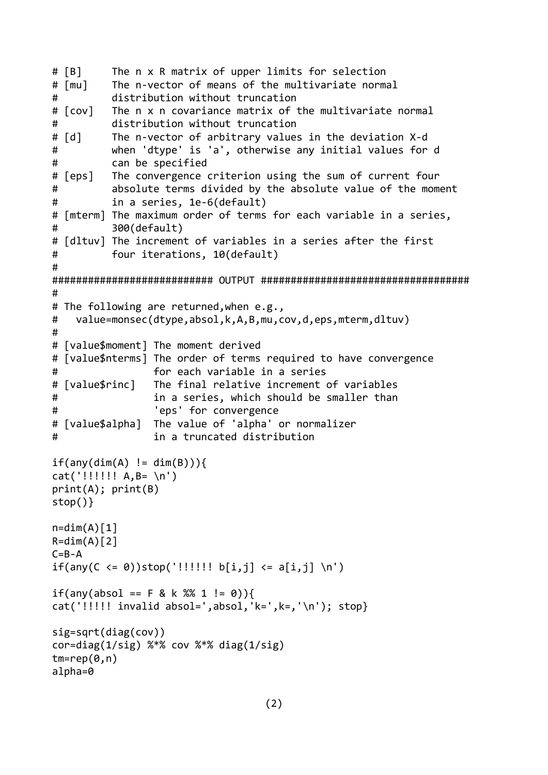```
# [B] The n x R matrix of upper limits for selection
# [mu] The n-vector of means of the multivariate normal
# distribution without truncation
# [cov] The n x n covariance matrix of the multivariate normal
# distribution without truncation
# [d] The n-vector of arbitrary values in the deviation X-d
# when 'dtype' is 'a', otherwise any initial values for d
# can be specified
# [eps] The convergence criterion using the sum of current four
# absolute terms divided by the absolute value of the moment
# in a series, 1e-6(default)
# [mterm] The maximum order of terms for each variable in a series,
# 300(default)
# [dltuv] The increment of variables in a series after the first
# four iterations, 10(default)
#
########################### OUTPUT ###################################
#
# The following are returned,when e.g.,
# value=monsec(dtype,absol,k,A,B,mu,cov,d,eps,mterm,dltuv)
#
# [value$moment] The moment derived
# [value$nterms] The order of terms required to have convergence
# for each variable in a series
# [value$rinc] The final relative increment of variables
# in a series, which should be smaller than
# 'eps' for convergence
# [value$alpha] The value of 'alpha' or normalizer
# in a truncated distribution
if(any(dim(A) != dim(B)))cat('!!!!!!! A, B= \n\n\'print(A); print(B)
stop()}
n=dim(A)[1]R=dim(A)[2]C = B - Aif(any(C \le \theta))stop('!!!!!! b[i,j] \le a[i,j] \in')if(any(absol == F & k % 1 != 0))cat('!!!!!! invalid absol=',absol,'k=',k=,'\n'); stop}
sig=sqrt(diag(cov))
cor=diag(1/sig) %*% cov %*% diag(1/sig)
tm=rep(0,n)alpha=0
```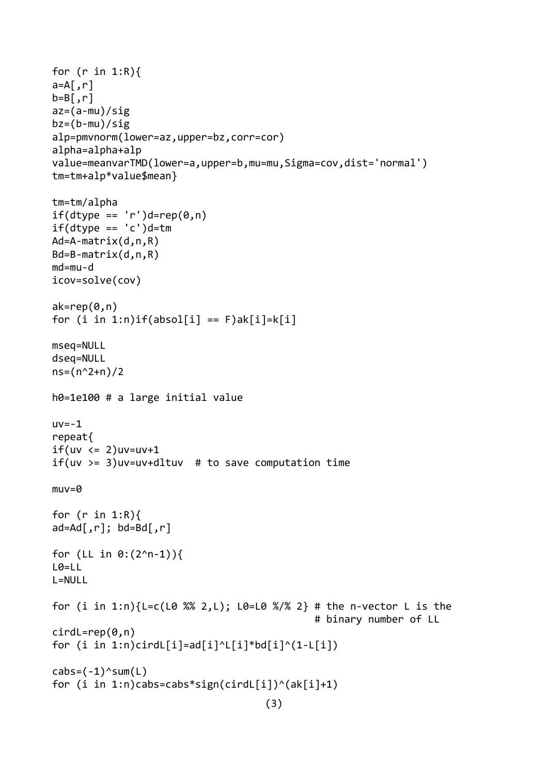```
for (r in 1:R){
a = A, r]
b=B, r]
az=(a-mu)/sig
bz=(b-mu)/sigalp=pmvnorm(lower=az,upper=bz,corr=cor)
alpha=alpha+alp
value=meanvarTMD(lower=a,upper=b,mu=mu,Sigma=cov,dist='normal')
tm=tm+alp*value$mean}
tm=tm/alpha
if(dtype == 'r')d=rep(0,n)if(dtype == 'c')d=tmAd=A-matrix(d,n,R)
Bd=B-matrix(d,n,R)
md=mu-d
icov=solve(cov)
ak=rep(0, n)for (i in 1:n)if(absol[i] == F)ak[i]=k[i]
mseq=NULL
dseq=NULL
ns=(n^2+n)/2h0=1e100 # a large initial value
uv=-1repeat{
if(uv \leq 2)uv=uv+1if(uv \geq 3)uv=uv+dltuv \# to save computation timemuv=0
for (r in 1:R){
ad = Ad[, r]; bd = Bd[, r]for (LL in 0:(2^n-1)){
L0=LL
L=NULL
for (i in 1:n)\{L=c(L0 % 2, L); L0=L0 % 2) # the n-vector L is the
                                              # binary number of LL
cirdL=rep(0,n)for (i in 1:n)cirdL[i]=ad[i]^L[i]*bd[i]^(1-L[i])
cabs=(-1)^ssum(L)for (i in 1:n)cabs=cabs*sign(cirdL[i])^(ak[i]+1)
                                    (3)
```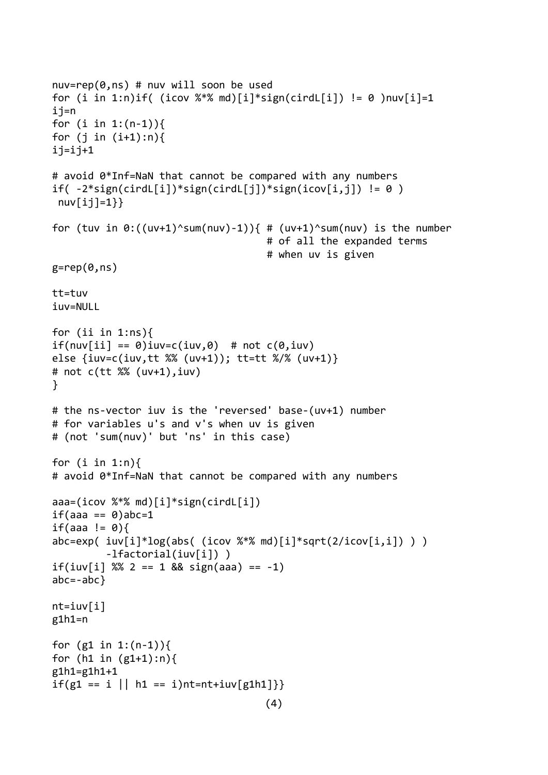```
nuv=rep(0,ns) # nuv will soon be used
for (i in 1:n)if( (icov \frac{8}{8} md)[i]*sign(cirdL[i]) != 0 )nuv[i]=1
ij=n
for (i in 1:(n-1)){
for (j in (i+1):n){
i j = i j + 1# avoid 0*Inf=NaN that cannot be compared with any numbers
if(-2 * sign(cirdL[i]) * sign(cirdL[i]) * sign(icov[i,j]) != 0)nuV[ij]=1}for (tuv in \theta:((uv+1)^sum(nuv)-1)){ # (uv+1)^sum(nuv) is the number
                                      # of all the expanded terms
                                      # when uv is given
g=rep(\theta,ns)tt=tuv
iuv=NULL
for (ii in 1:ns){
if(nuv[i] == 0)iuv=c(iuv,0) # not c(0,iuv)else {iuv=c(iuv,tt %% (uv+1)); tt=tt %/% (uv+1)}
# not c(tt %% (uv+1),iuv)
}
# the ns-vector iuv is the 'reversed' base-(uv+1) number
# for variables u's and v's when uv is given
# (not 'sum(nuv)' but 'ns' in this case)
for (i \text{ in } 1:n)# avoid 0*Inf=NaN that cannot be compared with any numbers
aaa=(icov %*% md)[i]*sign(cirdL[i])
if(aaa == 0)abc=1if(aaa != 0)abc=exp( iw[i]^*log(abs( (icov %^*% md)[i]^*sqrt(2/icov[i,i]) ) ) -lfactorial(iuv[i]) )
if(iuv[i] % 2 == 1 & 8 & sign(aaa) == -1)abc=-abc}
nt = iuv[i]g1h1=n
for (g1 in 1:(n-1))for (h1 in (g1+1):n){
g1h1=g1h1+1
if(g1 == i || h1 == i)nt=nt+iuv[g1h1]}}
                                     (4)
```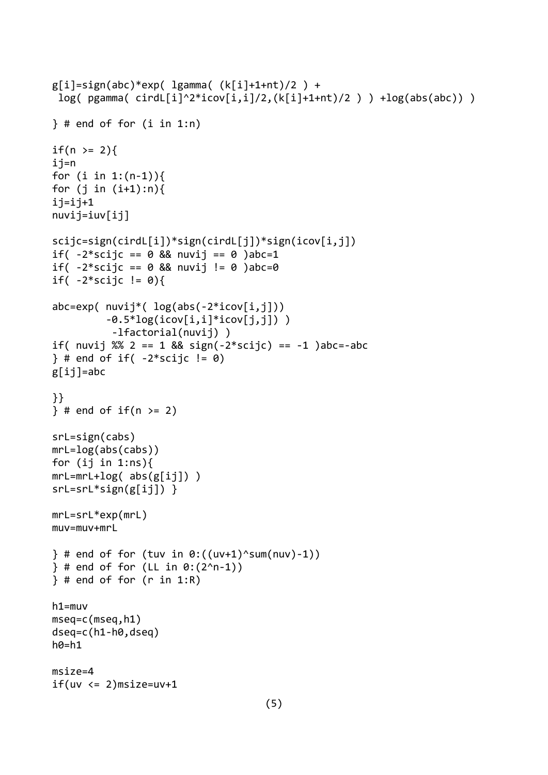```
g[i]=sign(abc)*exp( lgamma( (k[i]+1+nt)/2 ) +
 log( pgamma( cirdL[i]^2*icov[i,i]/2,(k[i]+1+nt)/2 ) ) +log(abs(abc)) )
\} # end of for (i in 1:n)
if(n > = 2)ij=n
for (i in 1:(n-1)){
for (j in (i+1):n){
i<sub>j</sub>=i<sub>j+1</sub>nuvij=iuv[ij]
scijc=sign(cirdL[i])*sign(cirdL[j])*sign(icov[i,j])
if( -2*scijc == 0 && nuvij == 0 )abc=1
if( -2*scijc == 0 && nuvij != 0 )abc=0
if( -2*scijc != 0){
abc=exp( nuij*( log(abs(-2*icov[i,j]))-0.5*log(icov[i,i]*icov[i,j]))
           -lfactorial(nuvij) )
if( nuvij %% 2 == 1 && sign(-2*scijc) == -1 )abc=-abc
\} # end of if( -2*scijc != 0)
g[ij]=abc
}}
\} # end of if(n >= 2)
srL=sign(cabs)
mrL=log(abs(cabs))
for (ij in 1:ns)\{mrL=mrL+log( abs(g[ij]))srL=srL*sign(g[ij]) }
mrL=srL*exp(mrL)
muv=muv+mrL
\} # end of for (tuv in 0:((uv+1)^sum(nuv)-1))
\} # end of for (LL in 0:(2^n-1))
\} # end of for (r in 1:R)
h1=muv
mseq=c(mseq,h1)
dseq=c(h1-h0,dseq)
h\theta = h1msize=4
if(uv \leq 2)msize=uv+1
```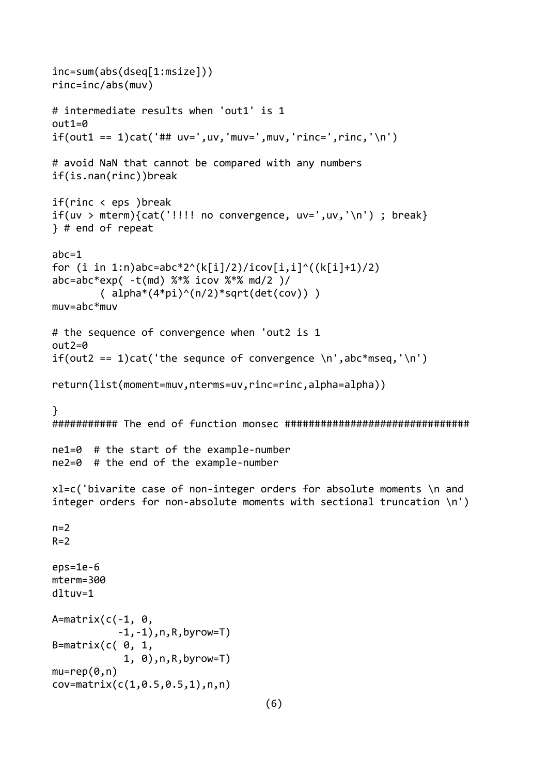```
inc=sum(abs(dseq[1:msize]))
rinc=inc/abs(muv)
# intermediate results when 'out1' is 1
out1=0
if(out1 == 1)cat('## uv=',uv,'mu v=',mu v,'rinc=',rinc,'n')# avoid NaN that cannot be compared with any numbers
if(is.nan(rinc))break
if(rinc < eps )break
if(uv > mterm){cat('!!!!} no convergence, uv=',uv,'n'); break}
} # end of repeat
abc=1
for (i in 1:n)abc=abc*2^(k[i]/2)/icov[i,i]^((k[i]+1)/2)
abc=abc*exp( -t(md) %*% icov %*% md/2 )/
        ( alpha*(4*pi)^{(n/2)*sqrt{(det(cov))})muv=abc*muv
# the sequence of convergence when 'out2 is 1
out2=0
if(out2 == 1)cat('the sequnce of convergence \n',abc*mseq,'\n')
return(list(moment=muv,nterms=uv,rinc=rinc,alpha=alpha))
}
########### The end of function monsec ###############################
ne1=0 # the start of the example-number
ne2=0 # the end of the example-number
xl=c('bivarite case of non-integer orders for absolute moments \n and 
integer orders for non-absolute moments with sectional truncation \n')
n=2R=2eps=1e-6
mterm=300
dltuv=1
A=matrix(c(-1, 0,-1, -1),n,R,byrow=T)
B=matrix(c(\theta, 1,
             1, 0),n,R,byrow=T)
mu=rep(0,n)cov=matrix(c(1,0.5,0.5,1),n,n)
                                    (6)
```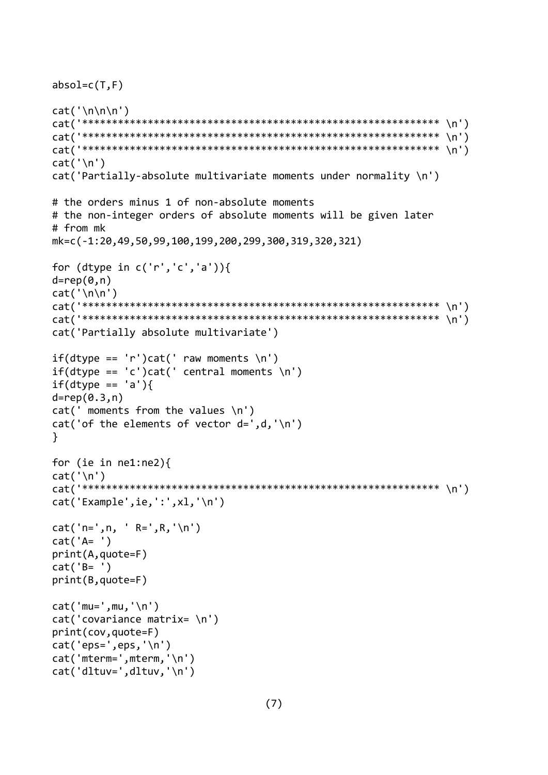```
absol=c(T,F)
cat('\n\n\{n\}n')cat('************************************************************ \n')
cat('************************************************************ \n')
cat('************************************************************ \n')
cat('\n\n')cat('Partially-absolute multivariate moments under normality \n')
# the orders minus 1 of non-absolute moments
# the non-integer orders of absolute moments will be given later
# from mk
mk=c(-1:20,49,50,99,100,199,200,299,300,319,320,321)
for (dtype in c('r', 'c', 'a'))d=rep(0,n)cat('\n\n')
cat('************************************************************ \n')
cat('************************************************************ \n')
cat('Partially absolute multivariate')
if(dtype == 'r')cat(' raw moments \n'if(dtype == 'c')cat(' central moments \n\'if(dtype == 'a')d=rep(0.3,n)
cat(' moments from the values \n\cdot)cat('of the elements of vector d=', d, '\n')}
for (ie in ne1:ne2){
cat('\n\n')cat('************************************************************ \n')
cat('Example',ie,':',xl,'\n')
cat('n=',n, ' R=', R,' \n')cat('A= ')
print(A,quote=F)
cat('B= ')
print(B,quote=F)
cat('mu=',mu,'\n')cat('covariance matrix= \n')
print(cov,quote=F)
cat('eps=',eps,'\n')
cat('mterm=',mterm,'\n')
cat('dltuv=',dltuv,'\n')
```